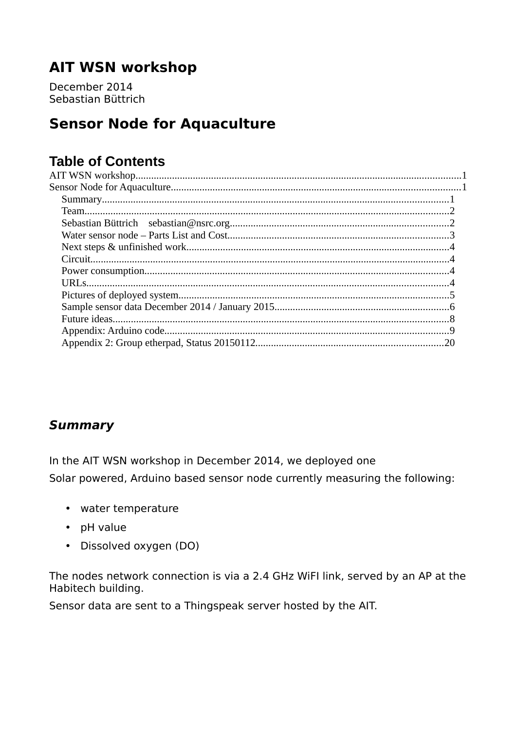# <span id="page-0-2"></span>**AIT WSN workshop**

December 2014 Sebastian Büttrich

# <span id="page-0-1"></span>**Sensor Node for Aquaculture**

## **Table of Contents**

## <span id="page-0-0"></span>**Summary**

In the AIT WSN workshop in December 2014, we deployed one Solar powered, Arduino based sensor node currently measuring the following:

- water temperature
- $\bullet$  pH value
- Dissolved oxygen (DO)

The nodes network connection is via a 2.4 GHz WiFI link, served by an AP at the Habitech building.

Sensor data are sent to a Thingspeak server hosted by the AIT.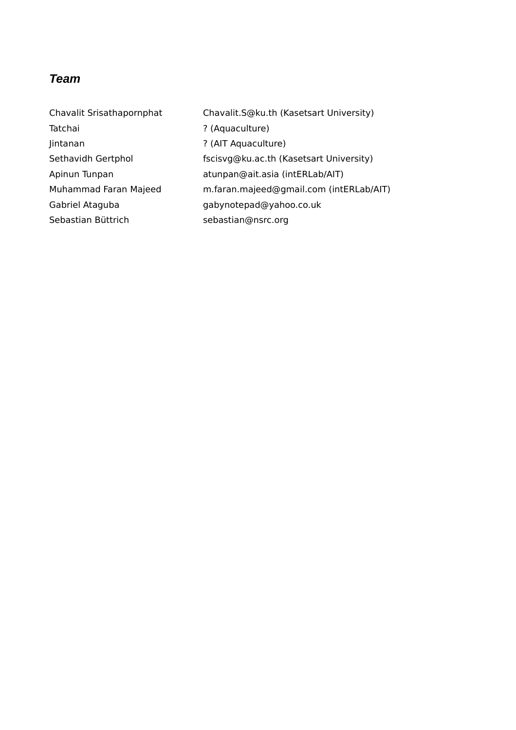### <span id="page-1-1"></span>*Team*

<span id="page-1-0"></span>

| Chavalit Srisathapornphat | Chavalit.S@ku.th (Kasetsart University) |
|---------------------------|-----------------------------------------|
| Tatchai                   | ? (Aquaculture)                         |
| Jintanan                  | ? (AIT Aquaculture)                     |
| Sethavidh Gertphol        | fscisvg@ku.ac.th (Kasetsart University) |
| Apinun Tunpan             | atunpan@ait.asia (intERLab/AIT)         |
| Muhammad Faran Majeed     | m.faran.majeed@gmail.com (intERLab/AIT) |
| Gabriel Ataguba           | gabynotepad@yahoo.co.uk                 |
| Sebastian Büttrich        | sebastian@nsrc.org                      |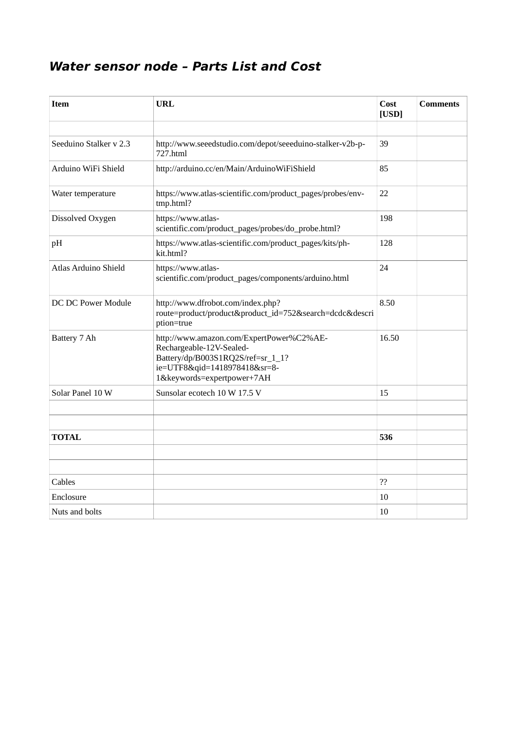## <span id="page-2-0"></span>**Water sensor node – Parts List and Cost**

| <b>Item</b>            | <b>URL</b>                                                                                                                                                              | Cost<br>[USD] | <b>Comments</b> |
|------------------------|-------------------------------------------------------------------------------------------------------------------------------------------------------------------------|---------------|-----------------|
|                        |                                                                                                                                                                         |               |                 |
| Seeduino Stalker v 2.3 | http://www.seeedstudio.com/depot/seeeduino-stalker-v2b-p-<br>727.html                                                                                                   | 39            |                 |
| Arduino WiFi Shield    | http://arduino.cc/en/Main/ArduinoWiFiShield                                                                                                                             | 85            |                 |
| Water temperature      | https://www.atlas-scientific.com/product_pages/probes/env-<br>tmp.html?                                                                                                 | 22            |                 |
| Dissolved Oxygen       | https://www.atlas-<br>scientific.com/product_pages/probes/do_probe.html?                                                                                                | 198           |                 |
| pH                     | https://www.atlas-scientific.com/product_pages/kits/ph-<br>kit.html?                                                                                                    | 128           |                 |
| Atlas Arduino Shield   | https://www.atlas-<br>scientific.com/product_pages/components/arduino.html                                                                                              | 24            |                 |
| DC DC Power Module     | http://www.dfrobot.com/index.php?<br>route=product/product&product_id=752&search=dcdc&descri<br>ption=true                                                              | 8.50          |                 |
| Battery 7 Ah           | http://www.amazon.com/ExpertPower%C2%AE-<br>Rechargeable-12V-Sealed-<br>Battery/dp/B003S1RQ2S/ref=sr_1_1?<br>ie=UTF8&qid=1418978418&sr=8-<br>1&keywords=expertpower+7AH | 16.50         |                 |
| Solar Panel 10 W       | Sunsolar ecotech 10 W 17.5 V                                                                                                                                            | 15            |                 |
|                        |                                                                                                                                                                         |               |                 |
|                        |                                                                                                                                                                         |               |                 |
| <b>TOTAL</b>           |                                                                                                                                                                         | 536           |                 |
|                        |                                                                                                                                                                         |               |                 |
|                        |                                                                                                                                                                         |               |                 |
| Cables                 |                                                                                                                                                                         | ??            |                 |
| Enclosure              |                                                                                                                                                                         | 10            |                 |
| Nuts and bolts         |                                                                                                                                                                         | 10            |                 |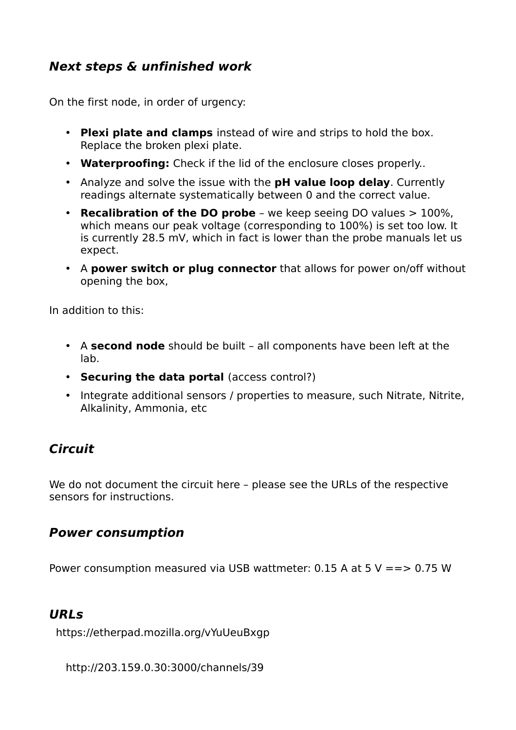## <span id="page-3-3"></span>**Next steps & unfinished work**

On the first node, in order of urgency:

- **Plexi plate and clamps** instead of wire and strips to hold the box. Replace the broken plexi plate.
- **Waterproofing:** Check if the lid of the enclosure closes properly..
- Analyze and solve the issue with the **pH value loop delay**. Currently readings alternate systematically between 0 and the correct value.
- **Recalibration of the DO probe** we keep seeing DO values > 100%, which means our peak voltage (corresponding to 100%) is set too low. It is currently 28.5 mV, which in fact is lower than the probe manuals let us expect.
- A **power switch or plug connector** that allows for power on/off without opening the box,

In addition to this:

- A **second node** should be built all components have been left at the lab.
- **Securing the data portal** (access control?)
- Integrate additional sensors / properties to measure, such Nitrate, Nitrite, Alkalinity, Ammonia, etc

### <span id="page-3-2"></span>**Circuit**

We do not document the circuit here – please see the URLs of the respective sensors for instructions.

#### <span id="page-3-1"></span>**Power consumption**

Power consumption measured via USB wattmeter: 0.15 A at 5 V =  $\geq$  0.75 W

### <span id="page-3-0"></span>**URLs**

https://etherpad.mozilla.org/vYuUeuBxgp

http://203.159.0.30:3000/channels/39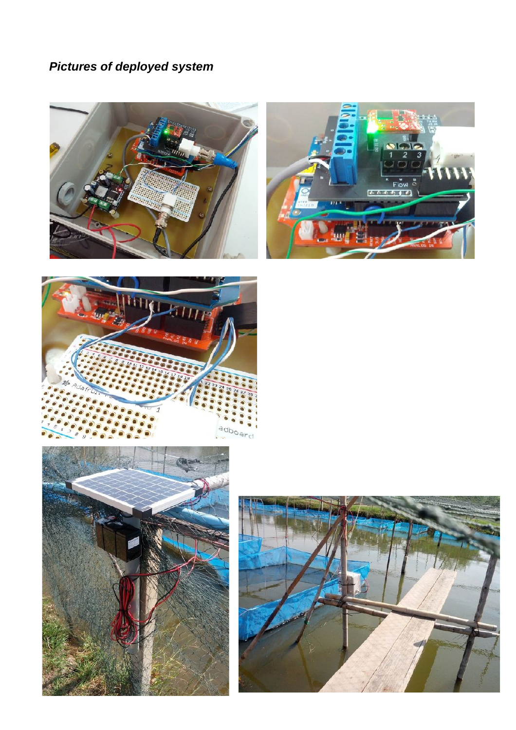# <span id="page-4-0"></span>*Pictures of deployed system*









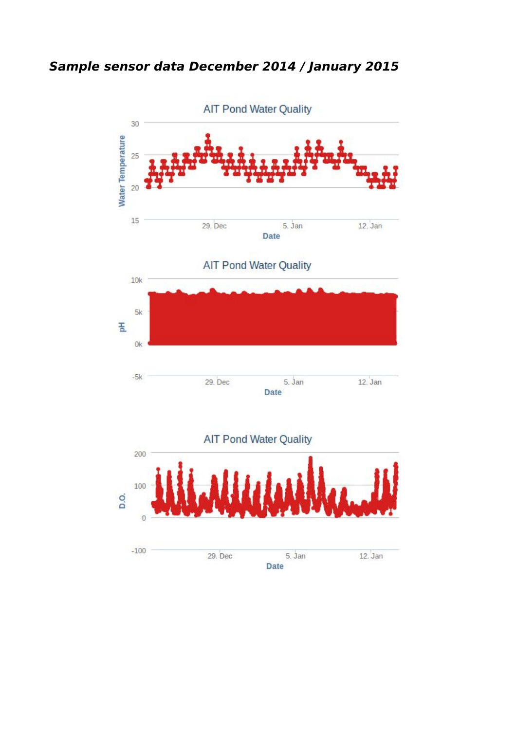<span id="page-5-0"></span>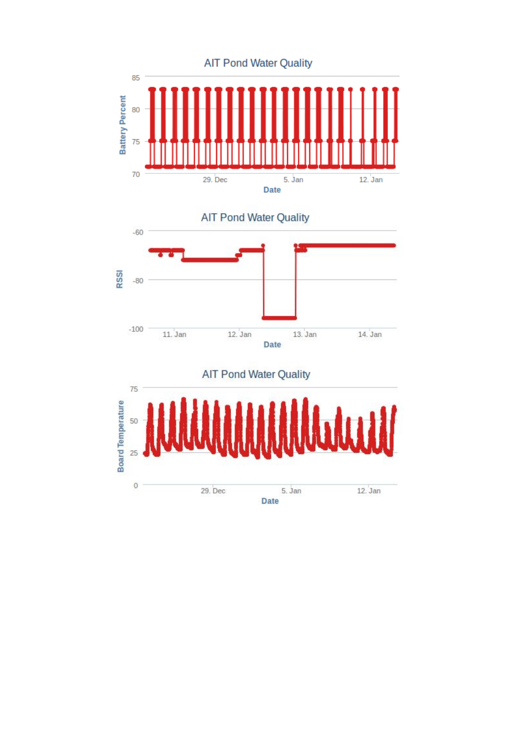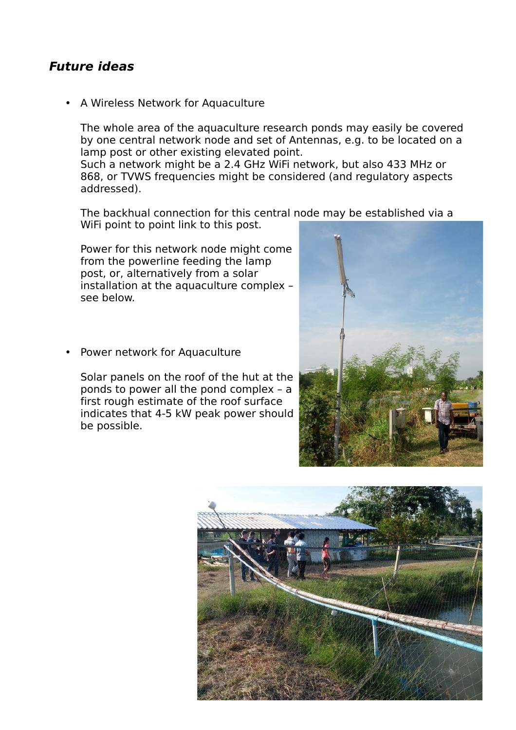### <span id="page-7-0"></span>**Future ideas**

• A Wireless Network for Aquaculture

The whole area of the aquaculture research ponds may easily be covered by one central network node and set of Antennas, e.g. to be located on a lamp post or other existing elevated point.

Such a network might be a 2.4 GHz WiFi network, but also 433 MHz or 868, or TVWS frequencies might be considered (and regulatory aspects addressed).

The backhual connection for this central node may be established via a WiFi point to point link to this post.

Power for this network node might come from the powerline feeding the lamp post, or, alternatively from a solar installation at the aquaculture complex – see below.

Power network for Aquaculture

Solar panels on the roof of the hut at the ponds to power all the pond complex – a first rough estimate of the roof surface indicates that 4-5 kW peak power should be possible.



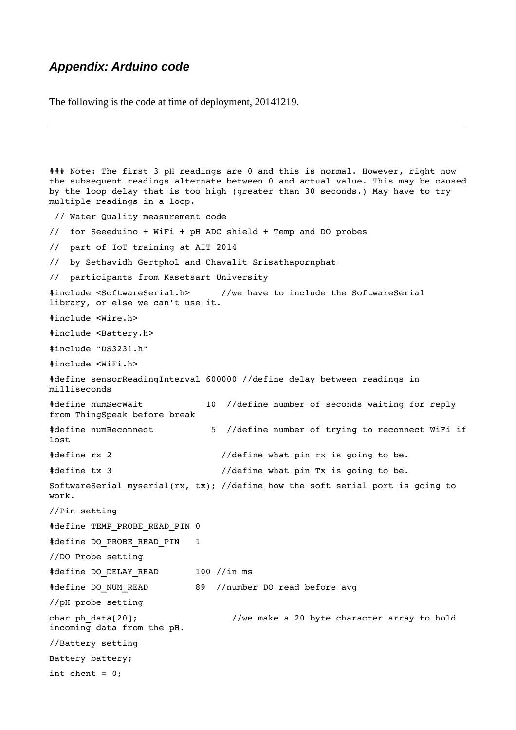#### <span id="page-8-0"></span>*Appendix: Arduino code*

The following is the code at time of deployment, 20141219.

```
### Note: The first 3 pH readings are 0 and this is normal. However, right now 
the subsequent readings alternate between 0 and actual value. This may be caused
by the loop delay that is too high (greater than 30 seconds.) May have to try 
multiple readings in a loop. 
// Water Quality measurement code 
//  for Seeeduino + WiFi + pH ADC shield + Temp and DO probes 
//  part of IoT training at AIT 2014 
//  by Sethavidh Gertphol and Chavalit Srisathapornphat 
//  participants from Kasetsart University 
#include <SoftwareSerial.h>      //we have to include the SoftwareSerial 
library, or else we can't use it. 
#include <Wire.h> 
#include <Battery.h> 
#include "DS3231.h" 
#include <WiFi.h> 
#define sensorReadingInterval 600000 //define delay between readings in 
milliseconds 
#define numSecWait            10  //define number of seconds waiting for reply 
from ThingSpeak before break 
#define numReconnect           5  //define number of trying to reconnect WiFi if
lost 
#define rx 2 \frac{1}{4} //define what pin rx is going to be.
#define tx 3                     //define what pin Tx is going to be. 
SoftwareSerial myserial(rx, tx); //define how the soft serial port is going to 
work. 
//Pin setting 
#define TEMP_PROBE_READ_PIN 0 
#define DO_PROBE_READ_PIN   1 
//DO Probe setting 
#define DO_DELAY_READ       100 //in ms 
#define DO_NUM_READ         89  //number DO read before avg 
//pH probe setting 
char ph_data[20];                  //we make a 20 byte character array to hold 
incoming data from the pH. 
//Battery setting 
Battery battery; 
int chcnt = 0:
```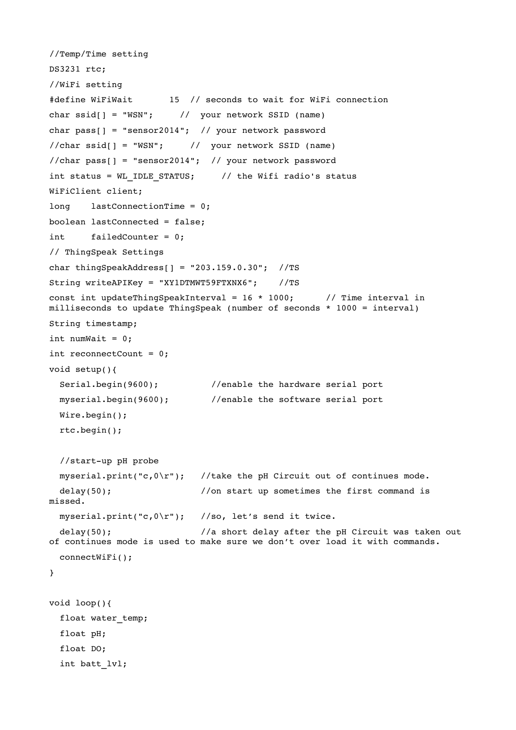```
//Temp/Time setting 
DS3231 rtc; 
//WiFi setting 
#define WiFiWait       15  // seconds to wait for WiFi connection 
char ssid[ ] = "WSN"; // your network SSID (name)
char pass[] = "sensor2014"; // your network password
//char\;ssid[] = "WSN"; // your network SSID (name)
//char pass[] = "sensor2014"; // your network password
int status = WL IDLE STATUS; \frac{1}{10} // the Wifi radio's status
WiFiClient client; 
long lastConnectionTime = 0;
boolean lastConnected = false; 
int failedCounter = 0;
// ThingSpeak Settings 
char thingSpeakAddress[] = "203.159.0.30";  //TS 
String writeAPIKey = "XY1DTMWT59FTXNX6";    //TS 
const int updateThingSpeakInterval = 16 * 1000; // Time interval in
milliseconds to update ThingSpeak (number of seconds * 1000 = interval) 
String timestamp; 
int numWait = 0;
int reconnectCount = 0; 
void setup(){ 
  Serial.begin(9600); \overline{\qquad} //enable the hardware serial port
    myserial.begin(9600);        //enable the software serial port 
    Wire.begin(); 
    rtc.begin(); 
  //start-up pH probe
  myserial.print("c,0\r"); //take the pH Circuit out of continues mode.
  delay(50); \frac{1}{2} //on start up sometimes the first command is
missed. 
   myserial.print("c,0\r");   //so, let's send it twice. 
  delay(50); \frac{1}{2} //a short delay after the pH Circuit was taken out
of continues mode is used to make sure we don't over load it with commands. 
    connectWiFi(); 
} 
void loop(){ 
  float water temp;
    float pH; 
    float DO; 
    int batt_lvl;
```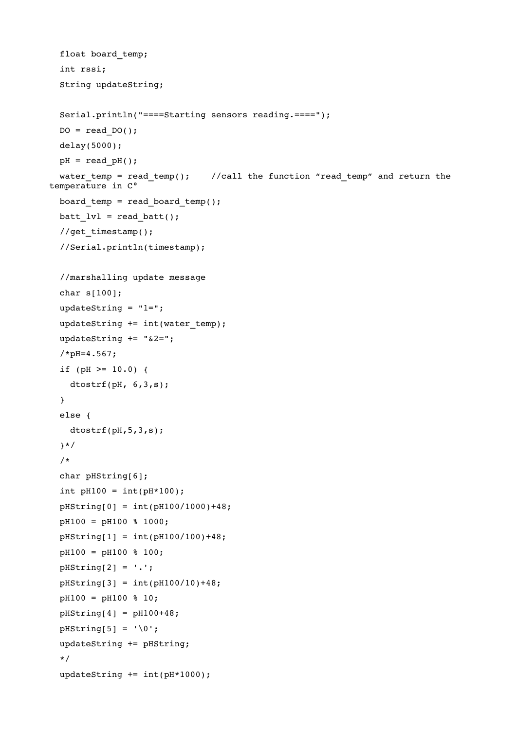```
float board temp;
    int rssi; 
    String updateString; 
    Serial.println("====Starting sensors reading.===="); 
  DO = read DO();  delay(5000); 
  pH = read pH();water temp = read temp(); //call the function "read temp" and return the
temperature in C°
    board_temp = read_board_temp(); 
  batt lvl = read batt();
    //get_timestamp(); 
    //Serial.println(timestamp); 
    //marshalling update message 
    char s[100]; 
    updateString = "1="; 
    updateString += int(water_temp); 
  updateString += "&2=";
    /*pH=4.567; 
  if (pH > = 10.0) {
        dtostrf(pH, 6,3,s); 
    } 
    else { 
        dtostrf(pH,5,3,s); 
    }*/ 
    /* 
  char pHString[6];
  int pH100 = int(pH*100);
    pHString[0] = int(pH100/1000)+48; 
    pH100 = pH100 % 1000; 
  pHString[1] = int(pH100/100) + 48;  pH100 = pH100 % 100; 
  pHString[2] = '.';
    pHString[3] = int(pH100/10)+48; 
    pH100 = pH100 % 10; 
  pHString[4] = pH100+48;pHString[5] = ' \0';  updateString += pHString; 
    */ 
  updateString += int(pH*1000);
```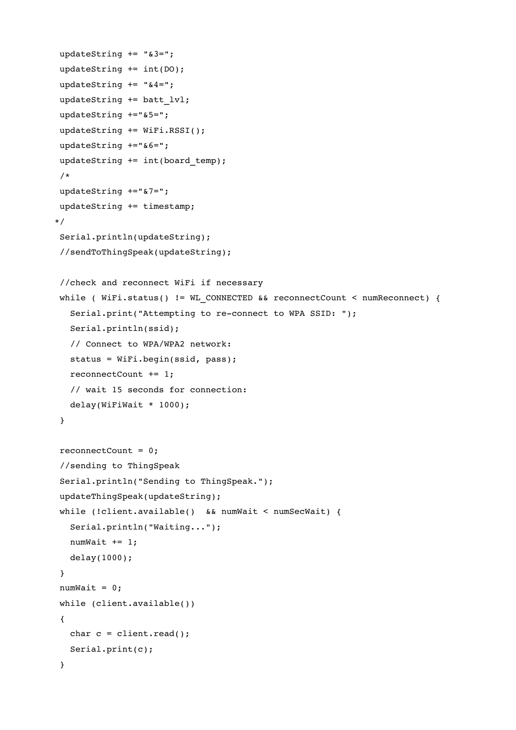```
updateString += "&3=";
  updateString += int(DO); 
updateString += "&4=";
  updateString += batt_lvl; 
  updateString +="&5="; 
  updateString += WiFi.RSSI(); 
  updateString +="&6="; 
updateString += int(board temp);
   /* 
  updateString +="&7="; 
  updateString += timestamp; 
*/ 
  Serial.println(updateString); 
  //sendToThingSpeak(updateString); 
   //check and reconnect WiFi if necessary 
while ( WiFi.status() != WL CONNECTED && reconnectCount < numReconnect) {
   Serial.print("Attempting to re-connect to WPA SSID: ");
       Serial.println(ssid); 
       // Connect to WPA/WPA2 network:    
       status = WiFi.begin(ssid, pass); 
       reconnectCount += 1; 
       // wait 15 seconds for connection: 
   delay(WiriWait * 1000);  } 
  reconnectCount = 0; 
   //sending to ThingSpeak 
  Serial.println("Sending to ThingSpeak."); 
  updateThingSpeak(updateString); 
  while (!client.available()  && numWait < numSecWait) { 
       Serial.println("Waiting..."); 
   numWait += 1;    delay(1000); 
  } 
numWait = 0;  while (client.available()) 
   { 
   char c = client.read();
       Serial.print(c); 
   }
```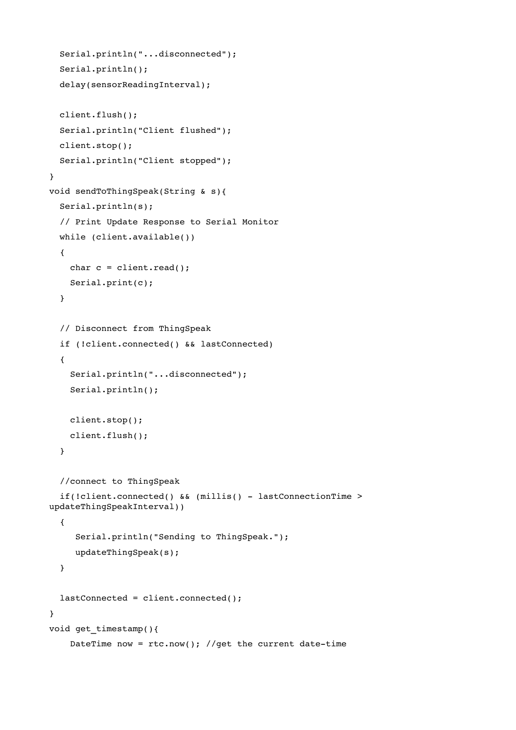```
  Serial.println("...disconnected"); 
    Serial.println(); 
    delay(sensorReadingInterval); 
    client.flush(); 
    Serial.println("Client flushed"); 
    client.stop(); 
    Serial.println("Client stopped"); 
}      
void sendToThingSpeak(String & s){ 
    Serial.println(s); 
    // Print Update Response to Serial Monitor 
    while (client.available()) 
    { 
    char c = client.read();
        Serial.print(c); 
    } 
    // Disconnect from ThingSpeak 
    if (!client.connected() && lastConnected) 
    { 
        Serial.println("...disconnected"); 
        Serial.println(); 
        client.stop(); 
        client.flush(); 
    } 
    //connect to ThingSpeak 
    if(!client.connected() && (millis()  lastConnectionTime > 
updateThingSpeakInterval)) 
    { 
          Serial.println("Sending to ThingSpeak."); 
          updateThingSpeak(s); 
    } 
    lastConnected = client.connected(); 
} 
void get_timestamp(){ 
    DateTime now = rtc.now(); //get the current date-time
```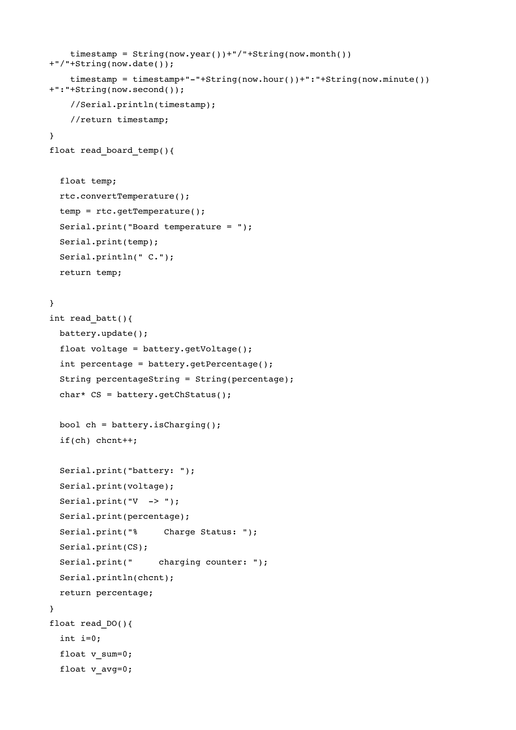```
    timestamp = String(now.year())+"/"+String(now.month())
+"/"+String(now.date()); 
    timestamp = timestamp+"-"+String(now.hour())+":"+String(now.minute())
+":"+String(now.second()); 
        //Serial.println(timestamp); 
        //return timestamp; 
} 
float read board temp(){
    float temp; 
    rtc.convertTemperature(); 
    temp = rtc.getTemperature();  
    Serial.print("Board temperature = "); 
    Serial.print(temp); 
    Serial.println(" C."); 
    return temp; 
} 
int read_batt(){ 
    battery.update();  
    float voltage = battery.getVoltage(); 
    int percentage = battery.getPercentage(); 
    String percentageString = String(percentage); 
    char* CS = battery.getChStatus(); 
  bool ch = battery.isCharging();
    if(ch) chcnt++; 
    Serial.print("battery: "); 
    Serial.print(voltage); 
  Serial.print("V \rightarrow");
    Serial.print(percentage); 
  Serial.print("%     Charge Status: ");
    Serial.print(CS); 
  Serial.print(" charging counter: ");
    Serial.println(chcnt); 
    return percentage; 
}  
float read_DO(){ 
    int i=0; 
  float v sum=0;
    float v_avg=0;
```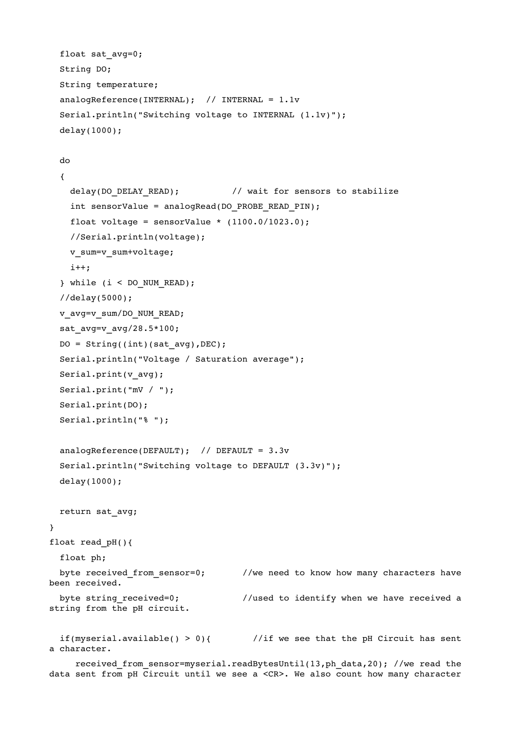```
float sat avg=0;
    String DO; 
    String temperature; 
    analogReference(INTERNAL);  // INTERNAL = 1.1v 
    Serial.println("Switching voltage to INTERNAL (1.1v)"); 
    delay(1000); 
    do 
    { 
    delay(DO DELAY READ); \frac{1}{2} wait for sensors to stabilize
        int sensorValue = analogRead(DO_PROBE_READ_PIN); 
    float voltage = sensorValue * (1100.0/1023.0);
        //Serial.println(voltage); 
    v sum=v sum+voltage;
        i++; 
    } while (i < DO_NUM_READ); 
    //delay(5000); 
  v_avg=v_sum/DO_NUM_READ;
  sat avg=v avg/28.5*100;
  DO = String((int)(satavg),DEC);  Serial.println("Voltage / Saturation average"); 
  Serial.print(v_avg);
    Serial.print("mV / "); 
    Serial.print(DO); 
    Serial.println("% "); 
    analogReference(DEFAULT);  // DEFAULT = 3.3v 
    Serial.println("Switching voltage to DEFAULT (3.3v)"); 
    delay(1000); 
    return sat_avg; 
} 
float read pH(){
    float ph; 
  byte received from sensor=0; //we need to know how many characters havebeen received. 
  byte string received=0; \frac{1}{2} //used to identify when we have received a
string from the pH circuit.  
  if(myserial.available() > 0){ \qquad //if we see that the pH Circuit has sent
```
a character. received from sensor=myserial.readBytesUntil(13,ph data,20); //we read the

data sent from pH Circuit until we see a <CR>. We also count how many character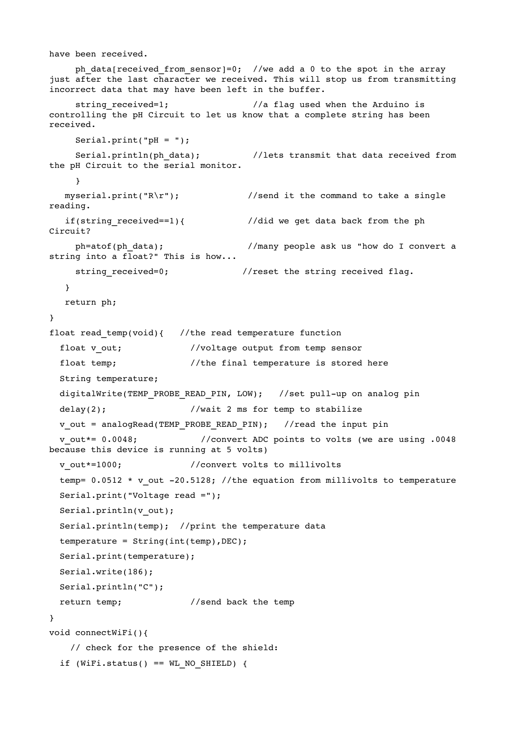```
have been received.  
     ph data[received from sensor]=0; //we add a 0 to the spot in the array
just after the last character we received. This will stop us from transmitting 
incorrect data that may have been left in the buffer. 
     string received=1; \frac{1}{2} //a flag used when the Arduino is
controlling the pH Circuit to let us know that a complete string has been 
received. 
     Serial.print("pH = ");
         Serial.println(ph_data);          //lets transmit that data received from 
the pH Circuit to the serial monitor. 
     }    
  myserial.print("R\r"); \frac{1}{2} //send it the command to take a single
reading. 
   if(string received==1){ //did we get data back from the phCircuit? 
         ph=atof(ph_data);                //many people ask us "how do I convert a 
string into a float?" This is how... 
     string received=0; //reset the string received flag.
      } 
      return ph; 
} 
float read temp(void){ //the read temperature function
  float v out; \frac{1}{2} //voltage output from temp sensor
  float temp; \frac{1}{1 + \epsilon} //the final temperature is stored here
    String temperature; 
  digitalWrite(TEMP_PROBE_READ_PIN, LOW); //set pull-up on analog pin
  delay(2); //wait 2 ms for temp to stabilize
  v out = analogRead(TEMP_PROBE_READ_PIN); //read the input pin
    v_out*= 0.0048;            //convert ADC points to volts (we are using .0048 
because this device is running at 5 volts) 
  v out*=1000; // convert volts to millivolts
  temp= 0.0512 \times v out -20.5128; //the equation from millivolts to temperature
    Serial.print("Voltage read ="); 
  Serial.println(v out);
    Serial.println(temp);  //print the temperature data 
  temperature = String(inttemp), DEC);
    Serial.print(temperature); 
    Serial.write(186); 
    Serial.println("C"); 
  return temp; //send back the temp} 
void connectWiFi(){ 
        // check for the presence of the shield: 
  if (WiFi.status() == WL_NO_SHIELD) {
```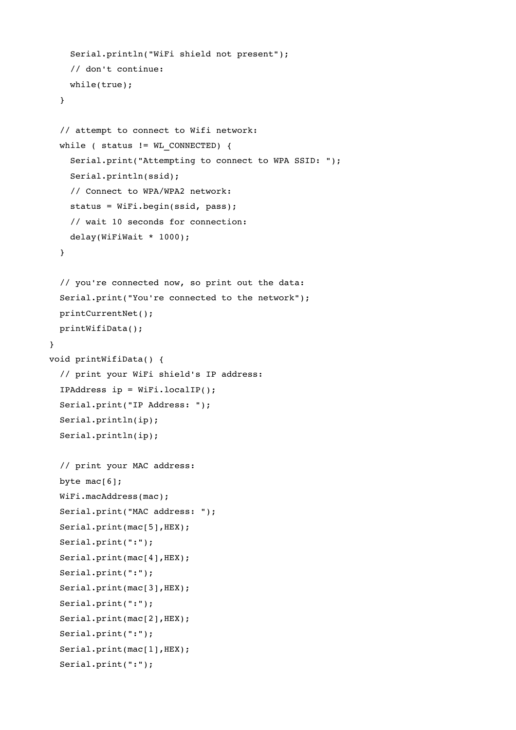```
    Serial.println("WiFi shield not present"); 
        // don't continue: 
        while(true); 
    } 
    // attempt to connect to Wifi network: 
  while ( status != WL CONNECTED) {
        Serial.print("Attempting to connect to WPA SSID: "); 
        Serial.println(ssid); 
        // Connect to WPA/WPA2 network:    
        status = WiFi.begin(ssid, pass); 
        // wait 10 seconds for connection: 
        delay(WiFiWait * 1000); 
    } 
    // you're connected now, so print out the data: 
    Serial.print("You're connected to the network"); 
    printCurrentNet(); 
    printWifiData(); 
} 
void printWifiData() { 
    // print your WiFi shield's IP address: 
    IPAddress ip = WiFi.localIP(); 
    Serial.print("IP Address: "); 
    Serial.println(ip); 
    Serial.println(ip); 
    // print your MAC address: 
  byte mac[6];
    WiFi.macAddress(mac); 
    Serial.print("MAC address: "); 
  Serial.print(mac[5], HEX);
    Serial.print(":"); 
  Serial.print(mac[4],HEX);
    Serial.print(":"); 
  Serial.print(mac[3], HEX);
    Serial.print(":"); 
  Serial.print(mac[2],HEX);
    Serial.print(":"); 
  Serial.print(mac[1],HEX);
    Serial.print(":");
```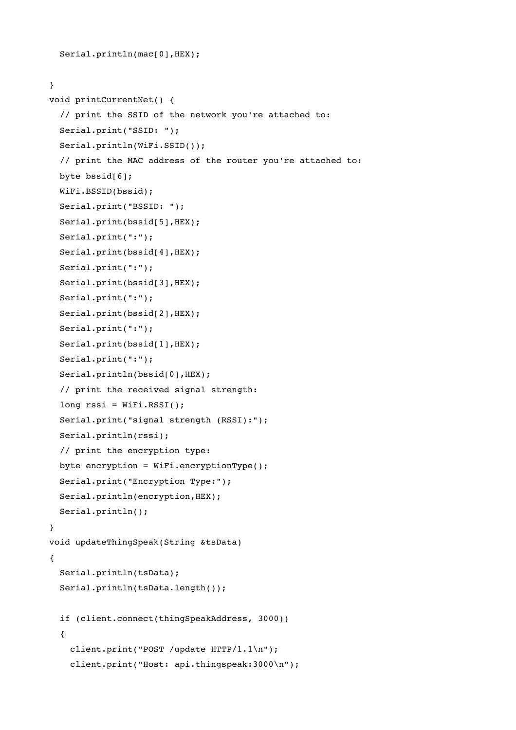```
Serial.println(mac[0],HEX);
```

```
void printCurrentNet() { 
    // print the SSID of the network you're attached to: 
    Serial.print("SSID: "); 
    Serial.println(WiFi.SSID()); 
    // print the MAC address of the router you're attached to: 
    byte bssid[6]; 
    WiFi.BSSID(bssid);    
    Serial.print("BSSID: "); 
    Serial.print(bssid[5],HEX); 
    Serial.print(":"); 
  Serial.print(bssid[4], HEX);
    Serial.print(":"); 
  Serial.print(bssid[3], HEX);
    Serial.print(":"); 
    Serial.print(bssid[2],HEX); 
    Serial.print(":"); 
    Serial.print(bssid[1],HEX); 
    Serial.print(":"); 
  Serial.println(bssid[0], HEX);
    // print the received signal strength: 
  long rssi = WiFi.RSSI();
    Serial.print("signal strength (RSSI):"); 
    Serial.println(rssi); 
    // print the encryption type: 
    byte encryption = WiFi.encryptionType(); 
    Serial.print("Encryption Type:"); 
  Serial.println(encryption, HEX);
    Serial.println(); 
} 
void updateThingSpeak(String &tsData) 
{ 
    Serial.println(tsData); 
    Serial.println(tsData.length()); 
    if (client.connect(thingSpeakAddress, 3000)) 
\{ \}    client.print("POST /update HTTP/1.1\n"); 
        client.print("Host: api.thingspeak:3000\n");
```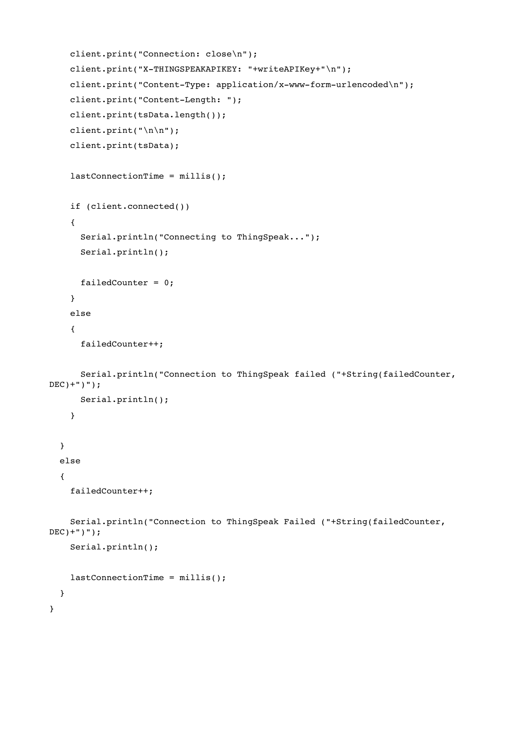```
    client.print("Connection: close\n"); 
    client.print("X-THINGSPEAKAPIKEY: "+writeAPIKey+"\n");
    client.print("Content-Type: application/x-www-form-urlencoded\n");
    client.print("Content-Length: ");
        client.print(tsData.length()); 
        client.print("\n\n"); 
        client.print(tsData); 
    lastConnectionTime = millis();
        if (client.connected()) 
         { 
             Serial.println("Connecting to ThingSpeak..."); 
             Serial.println(); 
             failedCounter = 0; 
        } 
        else 
         { 
             failedCounter++; 
             Serial.println("Connection to ThingSpeak failed ("+String(failedCounter, 
DEC) +")");
             Serial.println(); 
        } 
    } 
    else 
    { 
        failedCounter++; 
        Serial.println("Connection to ThingSpeak Failed ("+String(failedCounter, 
DEC) +")");
        Serial.println(); 
        lastConnectionTime = millis(); 
    } 
}
```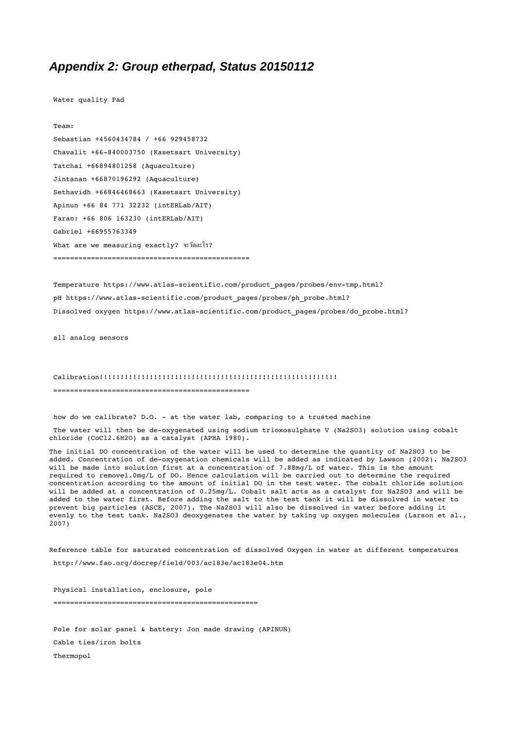#### <span id="page-19-0"></span>*Appendix 2: Group etherpad, Status 20150112*

Water quality Pad

Team: Sebastian +4560434784 / +66 929458732 Chavalit +66-840003750 (Kasetsart University) Tatchai +66894801258 (Aquaculture) Jintanan +66870196292 (Aquaculture) Sethavidh +66846468663 (Kasetsart University) Apinun +66 84 771 32232 (intERLab/AIT) Faran: +66 806 163230 (intERLab/AIT) Gabriel +66955763349 What are we measuring exactly? จะวัดอะไร? ===============================================

Temperature https://www.atlas-scientific.com/product pages/probes/env-tmp.html? pH https://www.atlas-scientific.com/product\_pages/probes/ph\_probe.html? Dissolved oxygen https://www.atlas-scientific.com/product pages/probes/do probe.html?

all analog sensors

#### Calibration!!!!!!!!!!!!!!!!!!!!!!!!!!!!!!!!!!!!!!!!!!!!!!!!!!!!!!!!!

===============================================

how do we calibrate? D.O. at the water lab, comparing to a trusted machine The water will then be de-oxygenated using sodium trioxosulphate V (Na2SO3) solution using cobalt chloride (CoCl2.6H2O) as a catalyst (APHA 1980).

The initial DO concentration of the water will be used to determine the quantity of Na2SO3 to be added. Concentration of de-oxygenation chemicals will be added as indicated by Lawson (2002). Na2SO3 will be made into solution first at a concentration of 7.88mg/L of water. This is the amount required to remove1.0mg/L of DO. Hence calculation will be carried out to determine the required concentration according to the amount of initial DO in the test water. The cobalt chloride solution will be added at a concentration of 0.25mg/L. Cobalt salt acts as a catalyst for Na2SO3 and will be added to the water first. Before adding the salt to the test tank it will be dissolved in water to prevent big particles (ASCE, 2007). The Na2SO3 will also be dissolved in water before adding it evenly to the test tank. Na2SO3 deoxygenates the water by taking up oxygen molecules (Larson et al., 2007)

Reference table for saturated concentration of dissolved Oxygen in water at different temperatures http://www.fao.org/docrep/field/003/ac183e/ac183e04.htm

Physical installation, enclosure, pole =================================================

Pole for solar panel & battery: Jon made drawing (APINUN) Cable ties/iron bolts Thermopol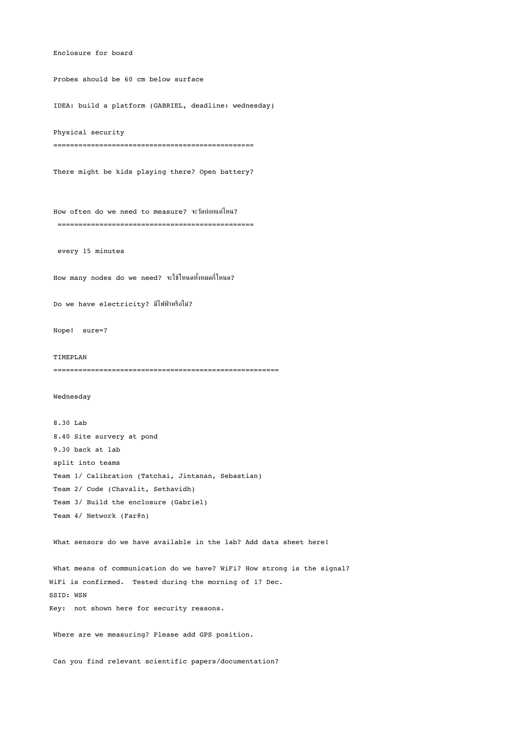Enclosure for board Probes should be 60 cm below surface IDEA: build a platform (GABRIEL, deadline: wednesday) Physical security ================================================ There might be kids playing there? Open battery? How often do we need to measure? จะวัดบ่อยแค่ไหน? =============================================== every 15 minutes How many nodes do we need? จะใช้โหนดทั้งหมดกี่โหนด? Do we have electricity? มีไฟฟ้าหรือไม่? Nope! sure=? TIMEPLAN ====================================================== Wednesday 8.30 Lab 8.40 Site survery at pond 9.30 back at lab split into teams Team 1/ Calibration (Tatchai, Jintanan, Sebastian) Team 2/ Code (Chavalit, Sethavidh) Team 3/ Build the enclosure (Gabriel) Team 4/ Network (Far@n) What sensors do we have available in the lab? Add data sheet here! What means of communication do we have? WiFi? How strong is the signal? WiFi is confirmed. Tested during the morning of 17 Dec. SSID: WSN Key: not shown here for security reasons. Where are we measuring? Please add GPS position.

Can you find relevant scientific papers/documentation?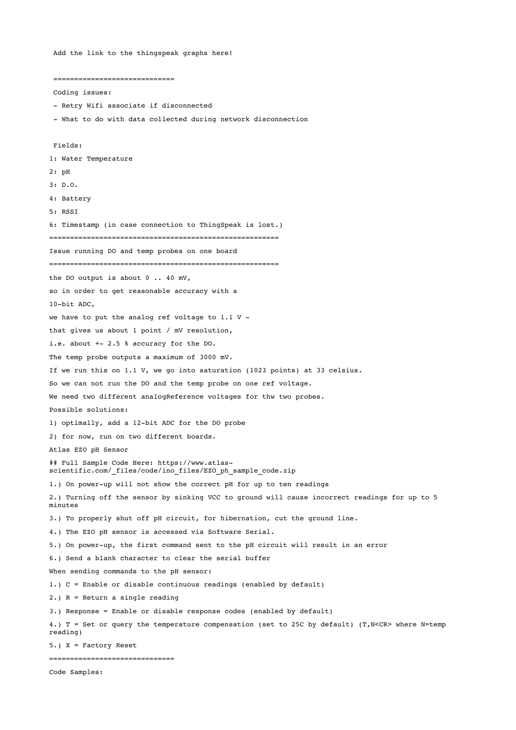Add the link to the thingspeak graphs here!

============================= Coding issues: - Retry Wifi associate if disconnected - What to do with data collected during network disconnection Fields: 1: Water Temperature 2: pH 3: D.O. 4: Battery 5: RSSI 6: Timestamp (in case connection to ThingSpeak is lost.) ======================================================= Issue running DO and temp probes on one board ======================================================= the DO output is about 0 .. 40 mV, so in order to get reasonable accuracy with a 10-bit ADC. we have to put the analog ref voltage to 1.1 V that gives us about 1 point / mV resolution, i.e. about  $+-2.5 %$  accuracy for the DO. The temp probe outputs a maximum of 3000 mV. If we run this on 1.1 V, we go into saturation (1023 points) at 33 celsius. So we can not run the DO and the temp probe on one ref voltage. We need two different analogReference voltages for thw two probes. Possible solutions: 1) optimally, add a 12-bit ADC for the DO probe 2) for now, run on two different boards. Atlas EZO pH Sensor ## Full Sample Code Here: https://www.atlasscientific.com/\_files/code/ino\_files/EZO\_ph\_sample\_code.zip 1.) On power-up will not show the correct pH for up to ten readings 2.) Turning off the sensor by sinking VCC to ground will cause incorrect readings for up to 5 minutes 3.) To properly shut off pH circuit, for hibernation, cut the ground line. 4.) The EZO pH sensor is accessed via Software Serial. 5.) On power-up, the first command sent to the pH circuit will result in an error 6.) Send a blank character to clear the serial buffer When sending commands to the pH sensor: 1.) C = Enable or disable continuous readings (enabled by default) 2.) R = Return a single reading 3.) Response = Enable or disable response codes (enabled by default) 4.) T = Set or query the temperature compensation (set to 25C by default) (T,N<CR> where N=temp reading) 5.) X = Factory Reset ==============================

Code Samples: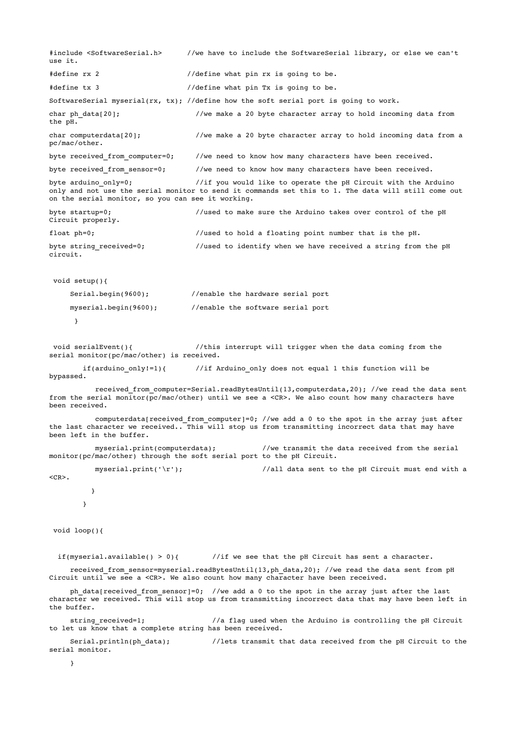```
#include <SoftwareSerial.h>      //we have to include the SoftwareSerial library, or else we can't 
use it.  
#define rx 2 //define what pin rx is going to be.
#define tx 3 //define what pin Tx is going to be.
SoftwareSerial myserial(rx, tx); //define how the soft serial port is going to work.
char ph data[20]; \qquad //we make a 20 byte character array to hold incoming data from
the pH. 
char computerdata[20]; \qquad //we make a 20 byte character array to hold incoming data from a
pc/mac/other. 
byte received from computer=0; //we need to know how many characters have been received.
byte received from sensor=0; \qquad //we need to know how many characters have been received.
byte arduino only=0; \frac{1}{\pi} //if you would like to operate the pH Circuit with the Arduino
only and not use the serial monitor to send it commands set this to 1. The data will still come out 
on the serial monitor, so you can see it working.  
byte startup=0; \frac{1}{10} //used to make sure the Arduino takes over control of the pH
Circuit properly. 
float ph=0; \frac{1}{10} //used to hold a floating point number that is the pH.
byte string_received=0;            //used to identify when we have received a string from the pH 
circuit.  
void setup(){ 
          Serial.begin(9600);          //enable the hardware serial port 
          myserial.begin(9600);        //enable the software serial port 
            } 
 void serialEvent(){ \frac{1}{2} //this interrupt will trigger when the data coming from the
serial monitor(pc/mac/other) is received.    
                if(arduino_only!=1){       //if Arduino_only does not equal 1 this function will be 
bypassed.  
                      received_from_computer=Serial.readBytesUntil(13,computerdata,20); //we read the data sent
from the serial monitor(pc/mac/other) until we see a <CR>. We also count how many characters have 
been received.      
           computerdata[received from computer]=0; //we add a 0 to the spot in the array just after
the last character we received.. This will stop us from transmitting incorrect data that may have
been left in the buffer. 
           myserial.print(computerdata); \frac{1}{\sqrt{w}} //we transmit the data received from the serial
monitor(pc/mac/other) through the soft serial port to the pH Circuit. 
           myserial.print('\r'); \frac{1}{2} //all data sent to the pH Circuit must end with a
<CR>.
          }    
        } 
 void loop(){ 
  if(myserial.available() > 0){ \qquad //if we see that the pH Circuit has sent a character.
     received from sensor=myserial.readBytesUntil(13,ph data,20); //we read the data sent from pH
Circuit until we see a <CR>. We also count how many character have been received.  
    ph data[received from sensor]=0; //we add a 0 to the spot in the array just after the last
character we received. This will stop us from transmitting incorrect data that may have been left in
the buffer. 
     string received=1; \frac{1}{2} //a flag used when the Arduino is controlling the pH Circuit
to let us know that a complete string has been received. 
     Serial.println(ph_data); \frac{1}{2} //lets transmit that data received from the pH Circuit to the
serial monitor. 
          }
```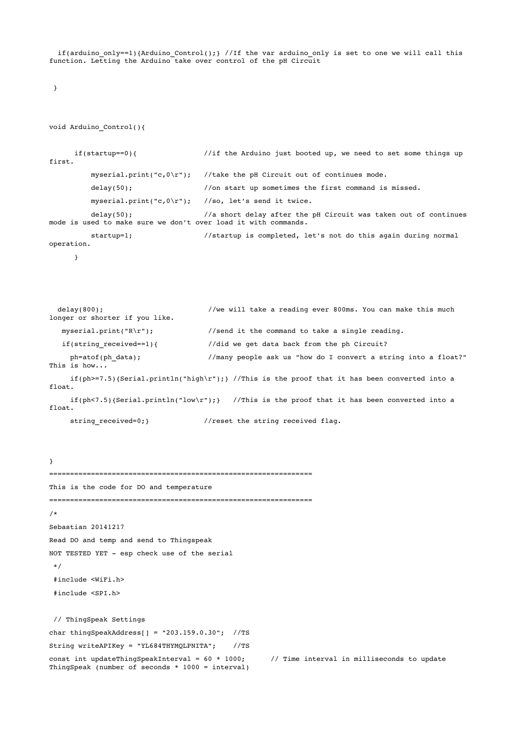if(arduino only==1){Arduino Control();} //If the var arduino only is set to one we will call this function. Letting the Arduino take over control of the pH Circuit

```
}
```

```
void Arduino_Control(){
```

```
      if(startup==0){                //if the Arduino just booted up, we need to set some things up 
first.   
          myserial.print("c,0\r"); //take the pH Circuit out of continues mode.
                    delay(50);                 //on start up sometimes the first command is missed. 
                    myserial.print("c,0\r");   //so, let's send it twice. 
         delay(50); //a short delay after the pH Circuit was taken out of continuesmode is used to make sure we don't over load it with commands. 
         startup=1; 		 //startup is completed, let's not do this again during normal
operation.
```
}

```
  delay(800);                         //we will take a reading ever 800ms. You can make this much 
longer or shorter if you like. 
   myserial.print("R\r"); \frac{1}{s} //send it the command to take a single reading.
      if(string_received==1){            //did we get data back from the ph Circuit? 
     ph=atof(ph_data); \frac{1}{m} //many people ask us "how do I convert a string into a float?"
This is how... 
     if(ph>=7.5){Serial.println("high\r");} //This is the proof that it has been converted into a
float. 
     if(ph<7.5){Serial.println("low\r");} //This is the proof that it has been converted into a
float.
```
string\_received=0;} //reset the string received flag.

```
=============================================================== 
This is the code for DO and temperature 
=============================================================== 
/* 
Sebastian 20141217 
Read DO and temp and send to Thingspeak 
NOT TESTED YET - esp check use of the serial
 */ 
 #include <WiFi.h> 
 #include <SPI.h> 
 // ThingSpeak Settings 
char thingSpeakAddress[] = "203.159.0.30";  //TS 
String writeAPIKey = "YL684THYMQLPNITA";    //TS 
const int updateThingSpeakInterval = 60 * 1000; // Time interval in milliseconds to update
ThingSpeak (number of seconds * 1000 = interval)
```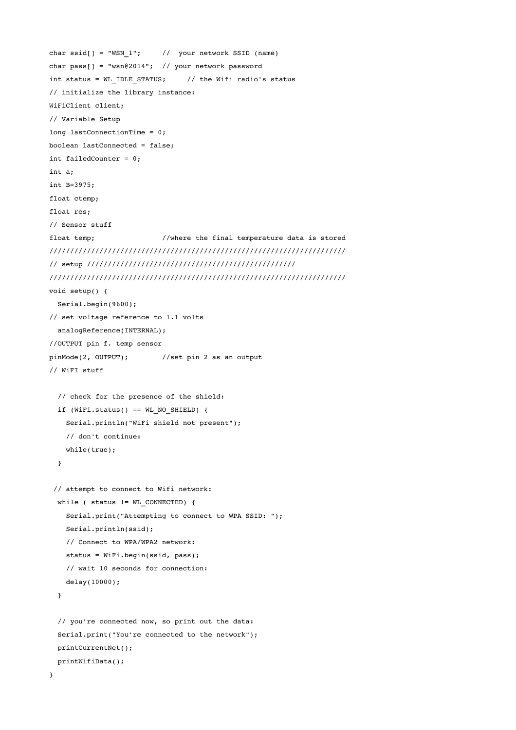```
char ssid[] = "WSN 1"; // your network SSID (name)
char pass[] = "wsn@2014"; // your network password
int status = WL_IDLE_STATUS;     // the Wifi radio's status 
// initialize the library instance: 
WiFiClient client; 
// Variable Setup 
long lastConnectionTime = 0;
boolean lastConnected = false; 
int failedCounter = 0; 
int a; 
int B=3975; 
float ctemp; 
float res; 
// Sensor stuff 
float temp; //where the final temperature data is stored/////////////////////////////////////////////////////////////////////// 
// setup ////////////////////////////////////////////////// 
/////////////////////////////////////////////////////////////////////// 
void setup() { 
    Serial.begin(9600); 
// set voltage reference to 1.1 volts 
    analogReference(INTERNAL); 
//OUTPUT pin f. temp sensor 
pinMode(2, OUTPUT);        //set pin 2 as an output 
// WiFI stuff 
    // check for the presence of the shield: 
    if (WiFi.status() == WL_NO_SHIELD) { 
        Serial.println("WiFi shield not present"); 
        // don't continue: 
        while(true); 
    } 
 // attempt to connect to Wifi network: 
  while ( status != WL CONNECTED) {
        Serial.print("Attempting to connect to WPA SSID: "); 
        Serial.println(ssid); 
        // Connect to WPA/WPA2 network:    
        status = WiFi.begin(ssid, pass); 
        // wait 10 seconds for connection: 
        delay(10000); 
    } 
    // you're connected now, so print out the data: 
    Serial.print("You're connected to the network"); 
    printCurrentNet(); 
    printWifiData(); 
}
```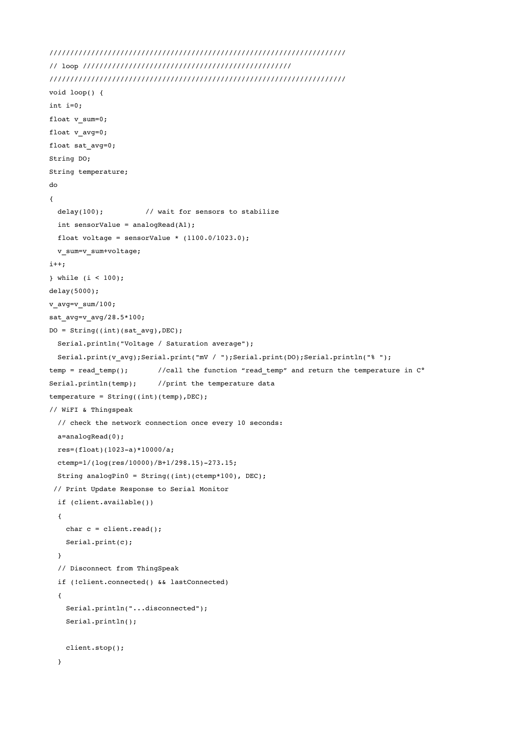```
/////////////////////////////////////////////////////////////////////// 
// loop ////////////////////////////////////////////////// 
/////////////////////////////////////////////////////////////////////// 
void loop() { 
int i=0; 
float v sum=0;
float v avg=0;
float sat_avg=0; 
String DO; 
String temperature; 
do 
{ 
  delay(100); // wait for sensors to stabilize
  int sensorValue = analogRead(A1);float voltage = sensorValue * (1100.0/1023.0);
    v_sum=v_sum+voltage; 
i++; 
} while (i < 100); 
delay(5000); 
v avg=v sum/100;
sat_avg=v_avg/28.5*100; 
DO = String((int)(satavg), DEC);  Serial.println("Voltage / Saturation average"); 
    Serial.print(v_avg);Serial.print("mV / ");Serial.print(DO);Serial.println("% "); 
temp = read_temp(); //call the function "read-temp" and return the temperature in <math>C^{\circ}</math>Serial.println(temp); //print the temperature data
temperature = String((int)(temp), DEC);
// WiFI & Thingspeak 
    // check the network connection once every 10 seconds: 
   a=analogRead(0); 
  res=(float)(1023-a)*10000/a;ctemp=1/(log(res/10000)/B+1/298.15)-273.15;  String analogPin0 = String((int)(ctemp*100), DEC); 
 // Print Update Response to Serial Monitor 
    if (client.available()) 
    { 
   char c = client.read();
        Serial.print(c); 
    } 
    // Disconnect from ThingSpeak 
    if (!client.connected() && lastConnected) 
\{    Serial.println("...disconnected"); 
       Serial.println(); 
       client.stop(); 
    }
```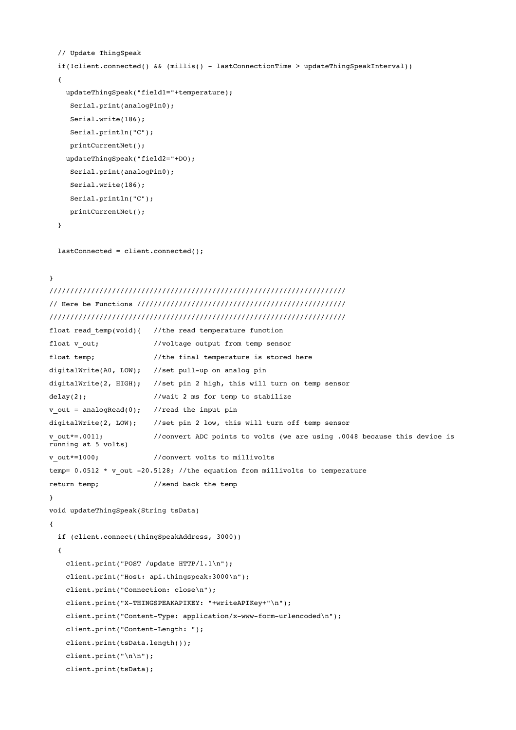```
  // Update ThingSpeak 
    if(!client.connected() && (millis()  lastConnectionTime > updateThingSpeakInterval)) 
    { 
        updateThingSpeak("field1="+temperature); 
          Serial.print(analogPin0); 
          Serial.write(186); 
          Serial.println("C"); 
          printCurrentNet(); 
        updateThingSpeak("field2="+DO); 
          Serial.print(analogPin0); 
     Serial.write(186);
          Serial.println("C"); 
          printCurrentNet(); 
    } 
    lastConnected = client.connected(); 
} 
/////////////////////////////////////////////////////////////////////// 
// Here be Functions ////////////////////////////////////////////////// 
/////////////////////////////////////////////////////////////////////// 
float read temp(void){ //the read temperature functionfloat v out; //voltage output from temp sensorfloat temp; \frac{1}{100} //the final temperature is stored here
digitalWrite(A0, LOW); //set pull-up on analog pin
digitalWrite(2, HIGH);   //set pin 2 high, this will turn on temp sensor 
delay(2); //wait 2 ms for temp to stabilize
v_out = analogRead(0); //read the input pin
digitalWrite(2, LOW); //set pin 2 low, this will turn off temp sensor
v out*=.0011; //convert ADC points to volts (we are using .0048 because this device is
```

```
running at 5 volts) 
v out*=1000; //convert volts to millivolts
temp= 0.0512 * v_out -20.5128; //the equation from millivolts to temperature
return temp; //send back the temp
```

```
void updateThingSpeak(String tsData)
```

```
{
```

```
  if (client.connect(thingSpeakAddress, 3000))
```

```
\{ \}    client.print("POST /update HTTP/1.1\n"); 
       client.print("Host: api.thingspeak:3000\n"); 
       client.print("Connection: close\n"); 
   client.print("X-THINGSPEAKAPIKEY: "+writeAPIKey+"\n");
   client.print("Content-Type: application/x-www-form-urlencoded\n");
```

```
client.print("Content-Length: ");
```

```
    client.print(tsData.length());
```

```
    client.print("\n\n");
```

```
    client.print(tsData);
```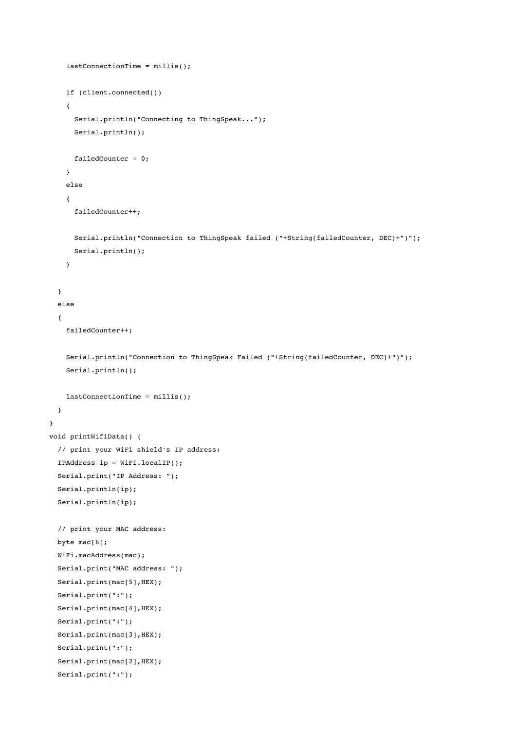```
    lastConnectionTime = millis(); 
        if (client.connected()) 
        { 
             Serial.println("Connecting to ThingSpeak..."); 
             Serial.println(); 
             failedCounter = 0; 
        } 
        else 
    \sqrt{ }      failedCounter++; 
             Serial.println("Connection to ThingSpeak failed ("+String(failedCounter, DEC)+")");   
             Serial.println(); 
        } 
    } 
    else 
    { 
        failedCounter++; 
        Serial.println("Connection to ThingSpeak Failed ("+String(failedCounter, DEC)+")");   
        Serial.println(); 
    lastConnectionTime = millis();
    } 
} 
void printWifiData() { 
    // print your WiFi shield's IP address: 
    IPAddress ip = WiFi.localIP(); 
    Serial.print("IP Address: "); 
    Serial.println(ip); 
    Serial.println(ip); 
    // print your MAC address: 
  byte mac[6];
    WiFi.macAddress(mac); 
    Serial.print("MAC address: "); 
  Serial.print(mac[5], HEX);
    Serial.print(":"); 
  Serial.print(mac[4], HEX);
    Serial.print(":"); 
  Serial.print(mac[3], HEX);
    Serial.print(":"); 
  Serial.print(mac[2], HEX);
    Serial.print(":");
```